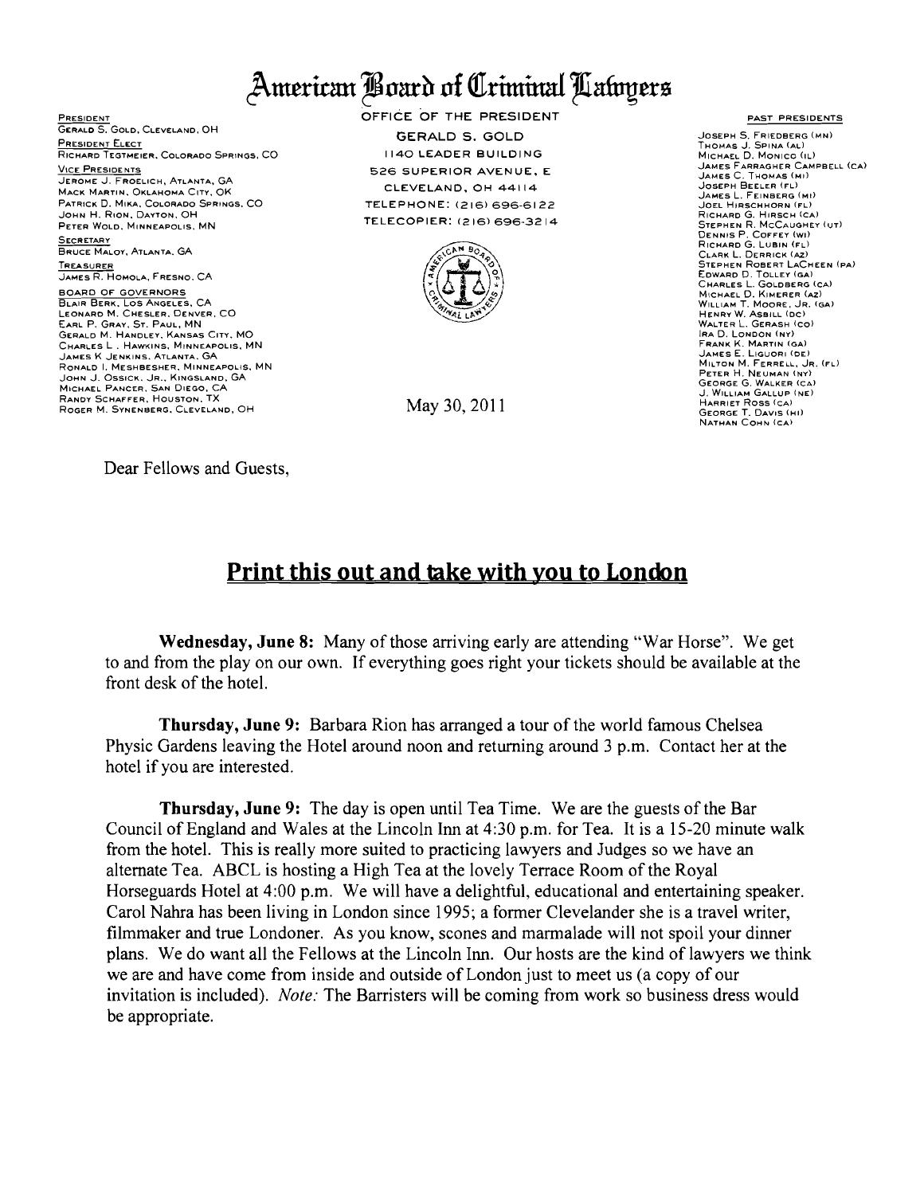## American Board of Criminal Latoyers

PRESIDENT GERALD S. GOLD, CLEVELAND, OH **PRESIDENT ELECT** RICHARD TEGTMEIER, COLORADO SPRINGS, CO. VICE PRESIDENTS JEROME J. FROELICH, ATLANTA, GA MACK MARTIN, OKLAHOMA CITY, OK PATRICK D. MIKA, COLORADO SPRINGS, CO JOHN H. RION, DAYTON, OH PETER WOLD, MINNEAPOLIS, MN **SECRETARY** BRUCE MALOY, ATLANTA, GA TREASURER<br>JAMES R. HOMOLA, FRESNO, CA **BOARD OF GOVERNORS** BLAIR BERK, LOS ANGELES, CA ELENARD IN SALSLEAT FLATE GERALD M. HANDLEY, KANSAS CITY, MO CHARLES L. HAWKINS, MINNEAPOLIS, MN<br>JAMES K JENKINS, ATLANTA, GA RONALD I. MESHBESHER, MINNEAPOLIS, MN JOHN J. OSSICK, JR., KINGSLAND, GA<br>Michael Pancer, San Diego, CA RANDY SCHAFFER, HOUSTON, TX ROGER M. SYNENBERG, CLEVELAND, OH

OFFICE OF THE PRESIDENT **GERALD S. GOLD 1140 LEADER BUILDING** 526 SUPERIOR AVENUE, E CLEVELAND, OH 44114 TELEPHONE: (216) 696-6122 TELECOPIER: (216) 696-3214



May 30, 2011

**PAST PRESIDENTS** 

JOSEPH S. FRIEDBERG (MN) THOMAS J. SPINA (AL) MICHAEL D. MONICO (IL) JAMES FARRAGHER CAMPBELL (CA) JAMES I ARRAGHER CA<br>James C. Thomas (mi)<br>Joseph Beeler (fl) JAMES L. FEINBERG (MI) JOEL HIRSCHHORN (FL) SULL HINSCHICHAR<br>STEPHEN R. MCCAUGHEY (UT)<br>DENNIS P. COFFEY (WI)<br>RICHARD G. LUBIN (FL) CLARK L. DERRICK (AZ)<br>STEPHEN ROBERT LACHEEN (PA) SEDWARD D. TOLLEY (GA)<br>CHARLES L. GOLDBERG (CA)<br>MICHAEL D. KIMERER (AZ)<br>WILLIAM T. MOORE, JR. (GA) HENRY W. ASBILL (DC)<br>WALTER L. GERASH (CO) WALTER L. GERASH (CO)<br>
RAD, LONDON (NY)<br>
FRANK K. MARTIN (GA)<br>
JAMES E. LIGUORI (DE)<br>
MILTON M. FERRELL, JR. (FL)<br>
PETER H. NEUMAN (NY) GEORGE G. WALKER (CA) HARRIET ROSS (CA) **GEORGE T. DAVIS (HI)** NATHAN COHN (CA)

Dear Fellows and Guests,

## Print this out and take with you to London

Wednesday, June 8: Many of those arriving early are attending "War Horse". We get to and from the play on our own. If everything goes right your tickets should be available at the front desk of the hotel.

**Thursday, June 9:** Barbara Rion has arranged a tour of the world famous Chelsea Physic Gardens leaving the Hotel around noon and returning around 3 p.m. Contact her at the hotel if you are interested.

**Thursday, June 9:** The day is open until Tea Time. We are the guests of the Bar Council of England and Wales at the Lincoln Inn at 4:30 p.m. for Tea. It is a 15-20 minute walk from the hotel. This is really more suited to practicing lawyers and Judges so we have an alternate Tea. ABCL is hosting a High Tea at the lovely Terrace Room of the Royal Horseguards Hotel at 4:00 p.m. We will have a delightful, educational and entertaining speaker. Carol Nahra has been living in London since 1995; a former Clevelander she is a travel writer, filmmaker and true Londoner. As you know, scones and marmalade will not spoil your dinner plans. We do want all the Fellows at the Lincoln Inn. Our hosts are the kind of lawyers we think we are and have come from inside and outside of London just to meet us (a copy of our invitation is included). Note: The Barristers will be coming from work so business dress would be appropriate.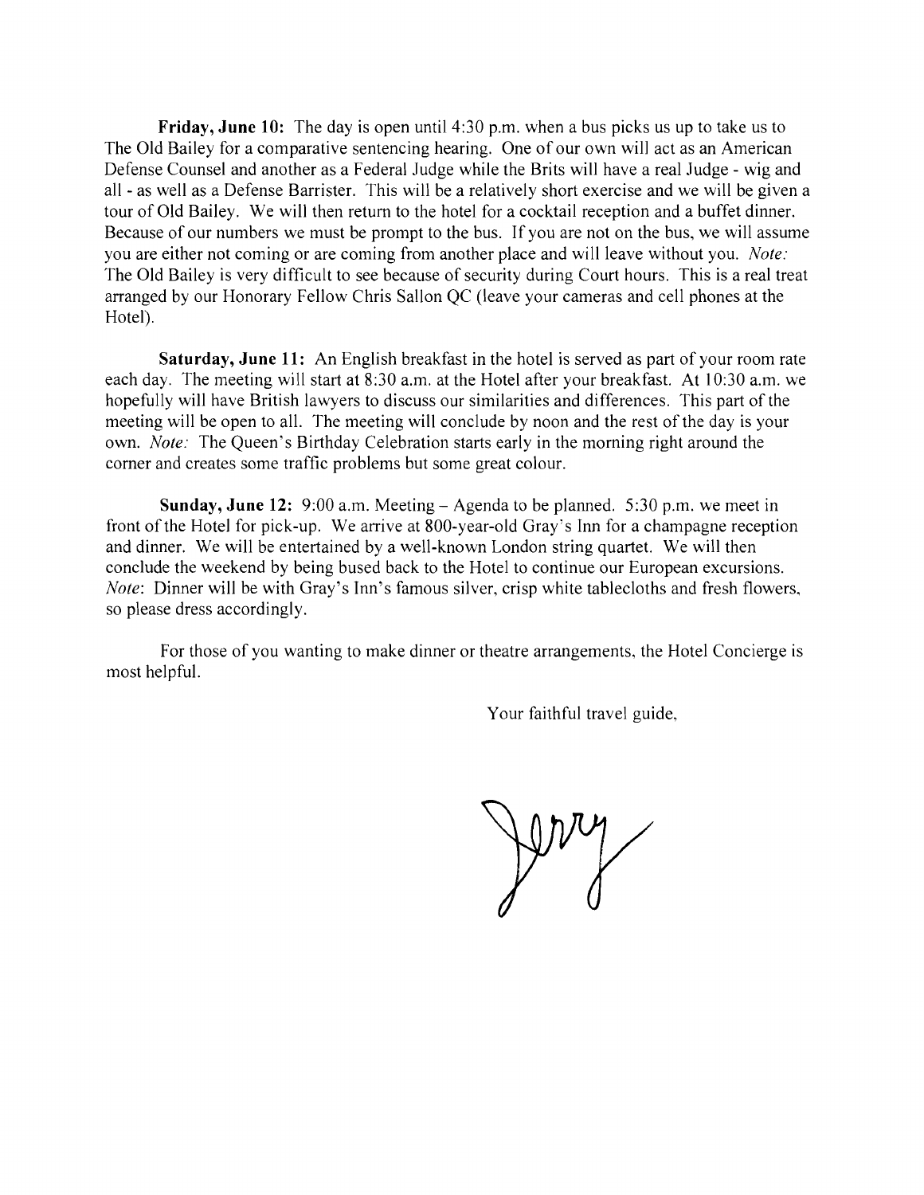**Friday, June 10:** The day is open until 4:30 p.m. when a bus picks us up to take us to The Old Bailey for a comparative sentencing hearing. One of our own will act as an American Defense Counsel and another as a Federal Judge while the Brits will have a real Judge - wig and all - as well as a Defense Barrister. This will be a relatively short exercise and we will be given a tour of Old Bailey. We will then return to the hotel for a cocktail reception and a buffet dinner. Because of our numbers we must be prompt to the bus. If you are not on the bus, we will assume you are either not coming or are coming from another place and will leave without you. *Note:*  The Old Bailey is very difficult to see because of security during Court hours. This is a real treat arranged by our Honorary Fellow Chris Sallon QC (leave your cameras and cell phones at the Hotel).

**Saturday, June 11:** An English breakfast in the hotel is served as part of your room rate each day. The meeting will start at 8:30 a.m. at the Hotel after your breakfast. At 10:30 a.m. we hopefully will have British lawyers to discuss our similarities and differences. This part of the meeting will be open to all. The meeting will conclude by noon and the rest of the day is your own. *Note:* The Queen's Birthday Celebration starts early in the morning right around the comer and creates some traffic problems but some great colour.

**Sunday, June 12:** 9:00 a.m. Meeting - Agenda to be planned. 5:30 p.m. we meet in front of the Hotel for pick-up. We arrive at 800-year-old Gray's Inn for a champagne reception and dinner. We will be entertained by a well-known London string quartet. We will then conclude the weekend by being bused back to the Hotel to continue our European excursions. *Note*: Dinner will be with Gray's Inn's famous silver, crisp white tablecloths and fresh flowers, so please dress accordingly.

For those of you wanting to make dinner or theatre arrangements, the Hotel Concierge is most helpful.

Your faithful travel guide,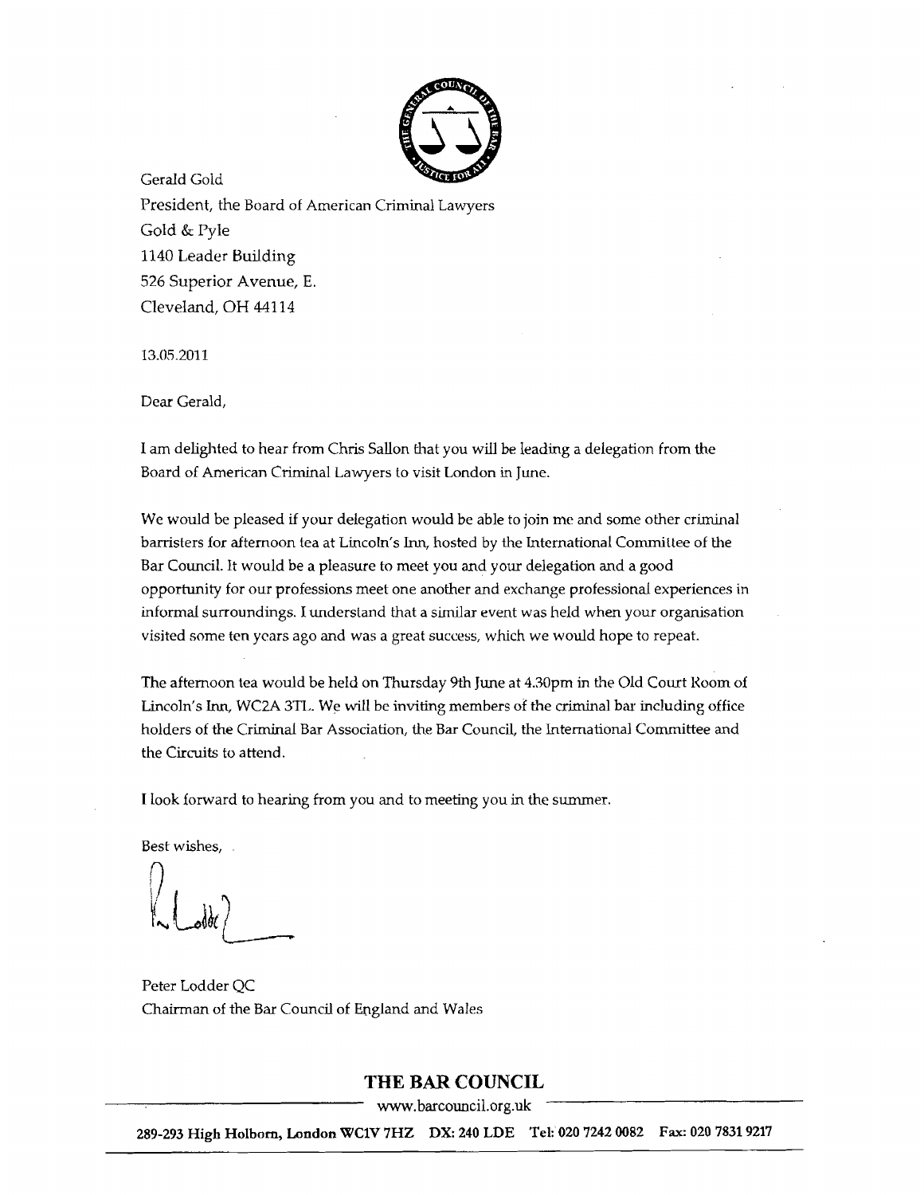

Gerald Gold President, the Board of American Criminal Lawyers Gold & Pyle 1140 Leader Building 526 Superior Avenue, E. Cleveland, OH 44114

13.05.2011

Dear Gerald,

I am delighted to hear from Chris 5a11on that you will be leading a delegation from the Board of American Criminal Lawyers to visit London in June.

We would be pleased if your delegation would be able to join me and some other criminal barristers for afternoon tea at Lincoln's Inn, hosted by the International Committee of the Bar Council. It would be a pleasure to meet you and your delegation and a good opportunity for our professions meet one another and exchange professional experiences in informal surroundings. I understand that a similar event was held when your organisation visited some ten years ago and was a great success, which we would hope to repeat.

The afternoon tea would be held on Thursday 9th June at 4.30pm in the Old Court Room of Lincoln's Inn, WC2A 3TL. We will be inviting members of the criminal bar including office holders of the Criminal Bar Association, the Bar Council, the International Committee and the Circuits to attend.

I look forward to hearing from you and to meeting you in the summer.

Best wishes,

Peter Ladder QC Chairman of the Bar Council of England and Wales

## **THE BAR COUNCIL**

www.barcouncil.org.uk

289-293 High Holbom, London WC1V 7HZ DX: 240 LDE Tel: 020 72420082 Fax: 020 78319217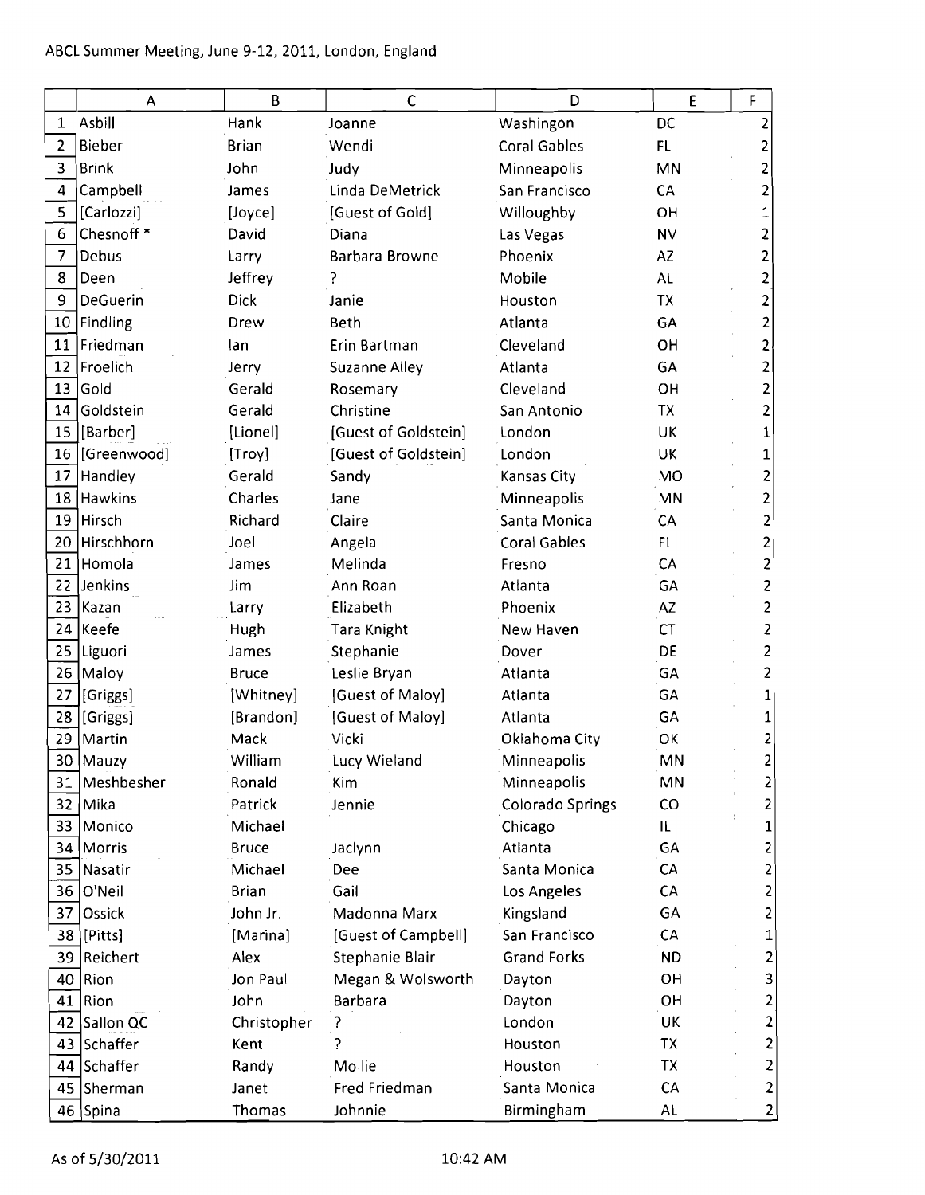| Asbill<br>Hank<br><b>DC</b><br>Washingon<br>$\mathbf{1}$<br>Joanne<br>$\overline{2}$<br><b>Bieber</b><br><b>Brian</b><br><b>Coral Gables</b><br>FL<br>Wendi<br>2<br>3<br><b>Brink</b><br>2<br>John<br>Minneapolis<br>MN<br>Judy<br>Linda DeMetrick<br>4<br>Campbell<br>San Francisco<br>CA<br>2<br>James<br>5<br>[Carlozzi]<br>[Guest of Gold]<br>Willoughby<br>OH<br>[Joyce]<br>Chesnoff <sup>*</sup><br>6<br><b>NV</b><br>David<br>Diana<br>Las Vegas<br>2<br>7<br>Debus<br>2<br>Barbara Browne<br>Phoenix<br>AZ<br>Larry<br>Jeffrey<br>8<br>Deen<br>Mobile<br><b>AL</b><br>2<br>DeGuerin<br><b>Dick</b><br>9<br>Janie<br><b>TX</b><br>2<br>Houston<br>Findling<br>2<br>10<br>Drew<br>Beth<br>Atlanta<br>GA<br>11<br>Friedman<br>Cleveland<br>OH<br>2<br>lan<br>Erin Bartman<br>2<br>12<br>Froelich<br>GA<br><b>Suzanne Alley</b><br>Atlanta<br>Jerry<br>13<br>Gold<br>Cleveland<br>Gerald<br>OH<br>2<br>Rosemary<br>14<br>Goldstein<br><b>TX</b><br>2<br>Gerald<br>Christine<br>San Antonio<br>15 [Barber]<br>[Lionel]<br>[Guest of Goldstein]<br>London<br>UK<br>1<br>16<br>[Guest of Goldstein]<br>London<br>[Greenwood]<br>[Troy]<br>UK<br>1<br>Handley<br>Gerald<br>2<br>17<br>Sandy<br>Kansas City<br><b>MO</b><br>18 Hawkins<br>Charles<br>Minneapolis<br><b>MN</b><br>$\overline{\mathbf{c}}$<br>Jane<br>19<br>Hirsch<br>Richard<br>Claire<br>Santa Monica<br>2<br>CA<br>$\overline{\mathbf{c}}$<br>20 Hirschhorn<br>Joel<br><b>Coral Gables</b><br>FL.<br>Angela<br>$\overline{\mathbf{c}}$<br>21<br>Homola<br>CA<br>Melinda<br>James<br>Fresno<br>22 Jenkins<br>$\overline{\mathbf{c}}$<br>Ann Roan<br>Atlanta<br>GA<br>Jim<br>23<br>$\mathbf{2}$<br> Kazan<br>Elizabeth<br>Phoenix<br><b>AZ</b><br>Larry<br>$\overline{\mathbf{c}}$<br>24<br> Keefe<br>CT<br>Hugh<br>Tara Knight<br>New Haven<br>$\mathbf{z}$<br>25<br>DE<br>Stephanie<br>Liguori<br>James<br>Dover<br>$\overline{\mathbf{c}}$<br>26<br>Maloy]<br>GA<br>Leslie Bryan<br>Atlanta<br><b>Bruce</b><br>[Whitney]<br>[Guest of Maloy]<br>GA<br>1<br>27<br>[Griggs]<br>Atlanta<br>[Brandon]<br>[Guest of Maloy]<br>Atlanta<br>GA<br>28<br>[Griggs]<br>1<br>Mack<br>Vicki<br>2<br>29<br>Martin<br>Oklahoma City<br>OK<br>30   Mauzy<br>William<br>MN<br>2<br>Minneapolis<br>Lucy Wieland<br>Meshbesher<br>MN<br>$\overline{2}$<br>Minneapolis<br>Ronald<br>Kim<br>31<br><b>Colorado Springs</b><br>$\overline{\mathbf{c}}$<br>Mika<br>Patrick<br>CO<br>32<br>Jennie<br>33<br>Monico<br>Michael<br>IL.<br>Chicago<br>1<br>$\overline{\mathbf{c}}$<br>Morris<br>Atlanta<br>GA<br>34<br><b>Bruce</b><br>Jaclynn<br>$\mathbf{c}$<br>35<br>Nasatir<br>Michael<br>Santa Monica<br>CA<br>Dee<br>$\overline{\mathbf{c}}$<br>O'Neil<br>CA<br>36<br><b>Brian</b><br>Gail<br>Los Angeles<br>37<br>GA<br>$\overline{\mathbf{c}}$<br>Ossick<br>John Jr.<br>Madonna Marx<br>Kingsland<br>[Pitts]<br>[Guest of Campbell]<br>San Francisco<br>CA<br>38<br>[Marina]<br>1<br>Reichert<br>Stephanie Blair<br><b>Grand Forks</b><br>$\overline{c}$<br>Alex<br><b>ND</b><br>39<br>Rion<br>Jon Paul<br>Megan & Wolsworth<br>OH<br>40<br>Dayton<br>Rion<br>OH<br>41<br>John<br>Barbara<br>Dayton<br>Sallon QC<br>London<br>UK<br>42<br>Christopher<br>Schaffer<br>ς<br>TX<br>43<br>Kent<br>Houston<br>Schaffer<br><b>TX</b><br>Randy<br>Mollie<br>Houston<br>44<br>Fred Friedman<br>Santa Monica<br>CA<br>45<br>Sherman<br>Janet | $\mathsf A$ | B      | $\mathsf{C}$ | D          | E  | $\mathsf F$    |
|---------------------------------------------------------------------------------------------------------------------------------------------------------------------------------------------------------------------------------------------------------------------------------------------------------------------------------------------------------------------------------------------------------------------------------------------------------------------------------------------------------------------------------------------------------------------------------------------------------------------------------------------------------------------------------------------------------------------------------------------------------------------------------------------------------------------------------------------------------------------------------------------------------------------------------------------------------------------------------------------------------------------------------------------------------------------------------------------------------------------------------------------------------------------------------------------------------------------------------------------------------------------------------------------------------------------------------------------------------------------------------------------------------------------------------------------------------------------------------------------------------------------------------------------------------------------------------------------------------------------------------------------------------------------------------------------------------------------------------------------------------------------------------------------------------------------------------------------------------------------------------------------------------------------------------------------------------------------------------------------------------------------------------------------------------------------------------------------------------------------------------------------------------------------------------------------------------------------------------------------------------------------------------------------------------------------------------------------------------------------------------------------------------------------------------------------------------------------------------------------------------------------------------------------------------------------------------------------------------------------------------------------------------------------------------------------------------------------------------------------------------------------------------------------------------------------------------------------------------------------------------------------------------------------------------------------------------------------------------------------------------------------------------------------------------------------------------------------------------------------------------------------------------------------------------------------------------------------------------------------------------------------------------------------------------------------------------------------------------------------------------|-------------|--------|--------------|------------|----|----------------|
|                                                                                                                                                                                                                                                                                                                                                                                                                                                                                                                                                                                                                                                                                                                                                                                                                                                                                                                                                                                                                                                                                                                                                                                                                                                                                                                                                                                                                                                                                                                                                                                                                                                                                                                                                                                                                                                                                                                                                                                                                                                                                                                                                                                                                                                                                                                                                                                                                                                                                                                                                                                                                                                                                                                                                                                                                                                                                                                                                                                                                                                                                                                                                                                                                                                                                                                                                                                 |             |        |              |            |    |                |
|                                                                                                                                                                                                                                                                                                                                                                                                                                                                                                                                                                                                                                                                                                                                                                                                                                                                                                                                                                                                                                                                                                                                                                                                                                                                                                                                                                                                                                                                                                                                                                                                                                                                                                                                                                                                                                                                                                                                                                                                                                                                                                                                                                                                                                                                                                                                                                                                                                                                                                                                                                                                                                                                                                                                                                                                                                                                                                                                                                                                                                                                                                                                                                                                                                                                                                                                                                                 |             |        |              |            |    |                |
|                                                                                                                                                                                                                                                                                                                                                                                                                                                                                                                                                                                                                                                                                                                                                                                                                                                                                                                                                                                                                                                                                                                                                                                                                                                                                                                                                                                                                                                                                                                                                                                                                                                                                                                                                                                                                                                                                                                                                                                                                                                                                                                                                                                                                                                                                                                                                                                                                                                                                                                                                                                                                                                                                                                                                                                                                                                                                                                                                                                                                                                                                                                                                                                                                                                                                                                                                                                 |             |        |              |            |    |                |
|                                                                                                                                                                                                                                                                                                                                                                                                                                                                                                                                                                                                                                                                                                                                                                                                                                                                                                                                                                                                                                                                                                                                                                                                                                                                                                                                                                                                                                                                                                                                                                                                                                                                                                                                                                                                                                                                                                                                                                                                                                                                                                                                                                                                                                                                                                                                                                                                                                                                                                                                                                                                                                                                                                                                                                                                                                                                                                                                                                                                                                                                                                                                                                                                                                                                                                                                                                                 |             |        |              |            |    |                |
|                                                                                                                                                                                                                                                                                                                                                                                                                                                                                                                                                                                                                                                                                                                                                                                                                                                                                                                                                                                                                                                                                                                                                                                                                                                                                                                                                                                                                                                                                                                                                                                                                                                                                                                                                                                                                                                                                                                                                                                                                                                                                                                                                                                                                                                                                                                                                                                                                                                                                                                                                                                                                                                                                                                                                                                                                                                                                                                                                                                                                                                                                                                                                                                                                                                                                                                                                                                 |             |        |              |            |    |                |
|                                                                                                                                                                                                                                                                                                                                                                                                                                                                                                                                                                                                                                                                                                                                                                                                                                                                                                                                                                                                                                                                                                                                                                                                                                                                                                                                                                                                                                                                                                                                                                                                                                                                                                                                                                                                                                                                                                                                                                                                                                                                                                                                                                                                                                                                                                                                                                                                                                                                                                                                                                                                                                                                                                                                                                                                                                                                                                                                                                                                                                                                                                                                                                                                                                                                                                                                                                                 |             |        |              |            |    |                |
|                                                                                                                                                                                                                                                                                                                                                                                                                                                                                                                                                                                                                                                                                                                                                                                                                                                                                                                                                                                                                                                                                                                                                                                                                                                                                                                                                                                                                                                                                                                                                                                                                                                                                                                                                                                                                                                                                                                                                                                                                                                                                                                                                                                                                                                                                                                                                                                                                                                                                                                                                                                                                                                                                                                                                                                                                                                                                                                                                                                                                                                                                                                                                                                                                                                                                                                                                                                 |             |        |              |            |    |                |
|                                                                                                                                                                                                                                                                                                                                                                                                                                                                                                                                                                                                                                                                                                                                                                                                                                                                                                                                                                                                                                                                                                                                                                                                                                                                                                                                                                                                                                                                                                                                                                                                                                                                                                                                                                                                                                                                                                                                                                                                                                                                                                                                                                                                                                                                                                                                                                                                                                                                                                                                                                                                                                                                                                                                                                                                                                                                                                                                                                                                                                                                                                                                                                                                                                                                                                                                                                                 |             |        |              |            |    |                |
|                                                                                                                                                                                                                                                                                                                                                                                                                                                                                                                                                                                                                                                                                                                                                                                                                                                                                                                                                                                                                                                                                                                                                                                                                                                                                                                                                                                                                                                                                                                                                                                                                                                                                                                                                                                                                                                                                                                                                                                                                                                                                                                                                                                                                                                                                                                                                                                                                                                                                                                                                                                                                                                                                                                                                                                                                                                                                                                                                                                                                                                                                                                                                                                                                                                                                                                                                                                 |             |        |              |            |    |                |
|                                                                                                                                                                                                                                                                                                                                                                                                                                                                                                                                                                                                                                                                                                                                                                                                                                                                                                                                                                                                                                                                                                                                                                                                                                                                                                                                                                                                                                                                                                                                                                                                                                                                                                                                                                                                                                                                                                                                                                                                                                                                                                                                                                                                                                                                                                                                                                                                                                                                                                                                                                                                                                                                                                                                                                                                                                                                                                                                                                                                                                                                                                                                                                                                                                                                                                                                                                                 |             |        |              |            |    |                |
|                                                                                                                                                                                                                                                                                                                                                                                                                                                                                                                                                                                                                                                                                                                                                                                                                                                                                                                                                                                                                                                                                                                                                                                                                                                                                                                                                                                                                                                                                                                                                                                                                                                                                                                                                                                                                                                                                                                                                                                                                                                                                                                                                                                                                                                                                                                                                                                                                                                                                                                                                                                                                                                                                                                                                                                                                                                                                                                                                                                                                                                                                                                                                                                                                                                                                                                                                                                 |             |        |              |            |    |                |
|                                                                                                                                                                                                                                                                                                                                                                                                                                                                                                                                                                                                                                                                                                                                                                                                                                                                                                                                                                                                                                                                                                                                                                                                                                                                                                                                                                                                                                                                                                                                                                                                                                                                                                                                                                                                                                                                                                                                                                                                                                                                                                                                                                                                                                                                                                                                                                                                                                                                                                                                                                                                                                                                                                                                                                                                                                                                                                                                                                                                                                                                                                                                                                                                                                                                                                                                                                                 |             |        |              |            |    |                |
|                                                                                                                                                                                                                                                                                                                                                                                                                                                                                                                                                                                                                                                                                                                                                                                                                                                                                                                                                                                                                                                                                                                                                                                                                                                                                                                                                                                                                                                                                                                                                                                                                                                                                                                                                                                                                                                                                                                                                                                                                                                                                                                                                                                                                                                                                                                                                                                                                                                                                                                                                                                                                                                                                                                                                                                                                                                                                                                                                                                                                                                                                                                                                                                                                                                                                                                                                                                 |             |        |              |            |    |                |
|                                                                                                                                                                                                                                                                                                                                                                                                                                                                                                                                                                                                                                                                                                                                                                                                                                                                                                                                                                                                                                                                                                                                                                                                                                                                                                                                                                                                                                                                                                                                                                                                                                                                                                                                                                                                                                                                                                                                                                                                                                                                                                                                                                                                                                                                                                                                                                                                                                                                                                                                                                                                                                                                                                                                                                                                                                                                                                                                                                                                                                                                                                                                                                                                                                                                                                                                                                                 |             |        |              |            |    |                |
|                                                                                                                                                                                                                                                                                                                                                                                                                                                                                                                                                                                                                                                                                                                                                                                                                                                                                                                                                                                                                                                                                                                                                                                                                                                                                                                                                                                                                                                                                                                                                                                                                                                                                                                                                                                                                                                                                                                                                                                                                                                                                                                                                                                                                                                                                                                                                                                                                                                                                                                                                                                                                                                                                                                                                                                                                                                                                                                                                                                                                                                                                                                                                                                                                                                                                                                                                                                 |             |        |              |            |    |                |
|                                                                                                                                                                                                                                                                                                                                                                                                                                                                                                                                                                                                                                                                                                                                                                                                                                                                                                                                                                                                                                                                                                                                                                                                                                                                                                                                                                                                                                                                                                                                                                                                                                                                                                                                                                                                                                                                                                                                                                                                                                                                                                                                                                                                                                                                                                                                                                                                                                                                                                                                                                                                                                                                                                                                                                                                                                                                                                                                                                                                                                                                                                                                                                                                                                                                                                                                                                                 |             |        |              |            |    |                |
|                                                                                                                                                                                                                                                                                                                                                                                                                                                                                                                                                                                                                                                                                                                                                                                                                                                                                                                                                                                                                                                                                                                                                                                                                                                                                                                                                                                                                                                                                                                                                                                                                                                                                                                                                                                                                                                                                                                                                                                                                                                                                                                                                                                                                                                                                                                                                                                                                                                                                                                                                                                                                                                                                                                                                                                                                                                                                                                                                                                                                                                                                                                                                                                                                                                                                                                                                                                 |             |        |              |            |    |                |
|                                                                                                                                                                                                                                                                                                                                                                                                                                                                                                                                                                                                                                                                                                                                                                                                                                                                                                                                                                                                                                                                                                                                                                                                                                                                                                                                                                                                                                                                                                                                                                                                                                                                                                                                                                                                                                                                                                                                                                                                                                                                                                                                                                                                                                                                                                                                                                                                                                                                                                                                                                                                                                                                                                                                                                                                                                                                                                                                                                                                                                                                                                                                                                                                                                                                                                                                                                                 |             |        |              |            |    |                |
|                                                                                                                                                                                                                                                                                                                                                                                                                                                                                                                                                                                                                                                                                                                                                                                                                                                                                                                                                                                                                                                                                                                                                                                                                                                                                                                                                                                                                                                                                                                                                                                                                                                                                                                                                                                                                                                                                                                                                                                                                                                                                                                                                                                                                                                                                                                                                                                                                                                                                                                                                                                                                                                                                                                                                                                                                                                                                                                                                                                                                                                                                                                                                                                                                                                                                                                                                                                 |             |        |              |            |    |                |
|                                                                                                                                                                                                                                                                                                                                                                                                                                                                                                                                                                                                                                                                                                                                                                                                                                                                                                                                                                                                                                                                                                                                                                                                                                                                                                                                                                                                                                                                                                                                                                                                                                                                                                                                                                                                                                                                                                                                                                                                                                                                                                                                                                                                                                                                                                                                                                                                                                                                                                                                                                                                                                                                                                                                                                                                                                                                                                                                                                                                                                                                                                                                                                                                                                                                                                                                                                                 |             |        |              |            |    |                |
|                                                                                                                                                                                                                                                                                                                                                                                                                                                                                                                                                                                                                                                                                                                                                                                                                                                                                                                                                                                                                                                                                                                                                                                                                                                                                                                                                                                                                                                                                                                                                                                                                                                                                                                                                                                                                                                                                                                                                                                                                                                                                                                                                                                                                                                                                                                                                                                                                                                                                                                                                                                                                                                                                                                                                                                                                                                                                                                                                                                                                                                                                                                                                                                                                                                                                                                                                                                 |             |        |              |            |    |                |
|                                                                                                                                                                                                                                                                                                                                                                                                                                                                                                                                                                                                                                                                                                                                                                                                                                                                                                                                                                                                                                                                                                                                                                                                                                                                                                                                                                                                                                                                                                                                                                                                                                                                                                                                                                                                                                                                                                                                                                                                                                                                                                                                                                                                                                                                                                                                                                                                                                                                                                                                                                                                                                                                                                                                                                                                                                                                                                                                                                                                                                                                                                                                                                                                                                                                                                                                                                                 |             |        |              |            |    |                |
|                                                                                                                                                                                                                                                                                                                                                                                                                                                                                                                                                                                                                                                                                                                                                                                                                                                                                                                                                                                                                                                                                                                                                                                                                                                                                                                                                                                                                                                                                                                                                                                                                                                                                                                                                                                                                                                                                                                                                                                                                                                                                                                                                                                                                                                                                                                                                                                                                                                                                                                                                                                                                                                                                                                                                                                                                                                                                                                                                                                                                                                                                                                                                                                                                                                                                                                                                                                 |             |        |              |            |    |                |
|                                                                                                                                                                                                                                                                                                                                                                                                                                                                                                                                                                                                                                                                                                                                                                                                                                                                                                                                                                                                                                                                                                                                                                                                                                                                                                                                                                                                                                                                                                                                                                                                                                                                                                                                                                                                                                                                                                                                                                                                                                                                                                                                                                                                                                                                                                                                                                                                                                                                                                                                                                                                                                                                                                                                                                                                                                                                                                                                                                                                                                                                                                                                                                                                                                                                                                                                                                                 |             |        |              |            |    |                |
|                                                                                                                                                                                                                                                                                                                                                                                                                                                                                                                                                                                                                                                                                                                                                                                                                                                                                                                                                                                                                                                                                                                                                                                                                                                                                                                                                                                                                                                                                                                                                                                                                                                                                                                                                                                                                                                                                                                                                                                                                                                                                                                                                                                                                                                                                                                                                                                                                                                                                                                                                                                                                                                                                                                                                                                                                                                                                                                                                                                                                                                                                                                                                                                                                                                                                                                                                                                 |             |        |              |            |    |                |
|                                                                                                                                                                                                                                                                                                                                                                                                                                                                                                                                                                                                                                                                                                                                                                                                                                                                                                                                                                                                                                                                                                                                                                                                                                                                                                                                                                                                                                                                                                                                                                                                                                                                                                                                                                                                                                                                                                                                                                                                                                                                                                                                                                                                                                                                                                                                                                                                                                                                                                                                                                                                                                                                                                                                                                                                                                                                                                                                                                                                                                                                                                                                                                                                                                                                                                                                                                                 |             |        |              |            |    |                |
|                                                                                                                                                                                                                                                                                                                                                                                                                                                                                                                                                                                                                                                                                                                                                                                                                                                                                                                                                                                                                                                                                                                                                                                                                                                                                                                                                                                                                                                                                                                                                                                                                                                                                                                                                                                                                                                                                                                                                                                                                                                                                                                                                                                                                                                                                                                                                                                                                                                                                                                                                                                                                                                                                                                                                                                                                                                                                                                                                                                                                                                                                                                                                                                                                                                                                                                                                                                 |             |        |              |            |    |                |
|                                                                                                                                                                                                                                                                                                                                                                                                                                                                                                                                                                                                                                                                                                                                                                                                                                                                                                                                                                                                                                                                                                                                                                                                                                                                                                                                                                                                                                                                                                                                                                                                                                                                                                                                                                                                                                                                                                                                                                                                                                                                                                                                                                                                                                                                                                                                                                                                                                                                                                                                                                                                                                                                                                                                                                                                                                                                                                                                                                                                                                                                                                                                                                                                                                                                                                                                                                                 |             |        |              |            |    |                |
|                                                                                                                                                                                                                                                                                                                                                                                                                                                                                                                                                                                                                                                                                                                                                                                                                                                                                                                                                                                                                                                                                                                                                                                                                                                                                                                                                                                                                                                                                                                                                                                                                                                                                                                                                                                                                                                                                                                                                                                                                                                                                                                                                                                                                                                                                                                                                                                                                                                                                                                                                                                                                                                                                                                                                                                                                                                                                                                                                                                                                                                                                                                                                                                                                                                                                                                                                                                 |             |        |              |            |    |                |
|                                                                                                                                                                                                                                                                                                                                                                                                                                                                                                                                                                                                                                                                                                                                                                                                                                                                                                                                                                                                                                                                                                                                                                                                                                                                                                                                                                                                                                                                                                                                                                                                                                                                                                                                                                                                                                                                                                                                                                                                                                                                                                                                                                                                                                                                                                                                                                                                                                                                                                                                                                                                                                                                                                                                                                                                                                                                                                                                                                                                                                                                                                                                                                                                                                                                                                                                                                                 |             |        |              |            |    |                |
|                                                                                                                                                                                                                                                                                                                                                                                                                                                                                                                                                                                                                                                                                                                                                                                                                                                                                                                                                                                                                                                                                                                                                                                                                                                                                                                                                                                                                                                                                                                                                                                                                                                                                                                                                                                                                                                                                                                                                                                                                                                                                                                                                                                                                                                                                                                                                                                                                                                                                                                                                                                                                                                                                                                                                                                                                                                                                                                                                                                                                                                                                                                                                                                                                                                                                                                                                                                 |             |        |              |            |    |                |
|                                                                                                                                                                                                                                                                                                                                                                                                                                                                                                                                                                                                                                                                                                                                                                                                                                                                                                                                                                                                                                                                                                                                                                                                                                                                                                                                                                                                                                                                                                                                                                                                                                                                                                                                                                                                                                                                                                                                                                                                                                                                                                                                                                                                                                                                                                                                                                                                                                                                                                                                                                                                                                                                                                                                                                                                                                                                                                                                                                                                                                                                                                                                                                                                                                                                                                                                                                                 |             |        |              |            |    |                |
|                                                                                                                                                                                                                                                                                                                                                                                                                                                                                                                                                                                                                                                                                                                                                                                                                                                                                                                                                                                                                                                                                                                                                                                                                                                                                                                                                                                                                                                                                                                                                                                                                                                                                                                                                                                                                                                                                                                                                                                                                                                                                                                                                                                                                                                                                                                                                                                                                                                                                                                                                                                                                                                                                                                                                                                                                                                                                                                                                                                                                                                                                                                                                                                                                                                                                                                                                                                 |             |        |              |            |    |                |
|                                                                                                                                                                                                                                                                                                                                                                                                                                                                                                                                                                                                                                                                                                                                                                                                                                                                                                                                                                                                                                                                                                                                                                                                                                                                                                                                                                                                                                                                                                                                                                                                                                                                                                                                                                                                                                                                                                                                                                                                                                                                                                                                                                                                                                                                                                                                                                                                                                                                                                                                                                                                                                                                                                                                                                                                                                                                                                                                                                                                                                                                                                                                                                                                                                                                                                                                                                                 |             |        |              |            |    |                |
|                                                                                                                                                                                                                                                                                                                                                                                                                                                                                                                                                                                                                                                                                                                                                                                                                                                                                                                                                                                                                                                                                                                                                                                                                                                                                                                                                                                                                                                                                                                                                                                                                                                                                                                                                                                                                                                                                                                                                                                                                                                                                                                                                                                                                                                                                                                                                                                                                                                                                                                                                                                                                                                                                                                                                                                                                                                                                                                                                                                                                                                                                                                                                                                                                                                                                                                                                                                 |             |        |              |            |    |                |
|                                                                                                                                                                                                                                                                                                                                                                                                                                                                                                                                                                                                                                                                                                                                                                                                                                                                                                                                                                                                                                                                                                                                                                                                                                                                                                                                                                                                                                                                                                                                                                                                                                                                                                                                                                                                                                                                                                                                                                                                                                                                                                                                                                                                                                                                                                                                                                                                                                                                                                                                                                                                                                                                                                                                                                                                                                                                                                                                                                                                                                                                                                                                                                                                                                                                                                                                                                                 |             |        |              |            |    |                |
|                                                                                                                                                                                                                                                                                                                                                                                                                                                                                                                                                                                                                                                                                                                                                                                                                                                                                                                                                                                                                                                                                                                                                                                                                                                                                                                                                                                                                                                                                                                                                                                                                                                                                                                                                                                                                                                                                                                                                                                                                                                                                                                                                                                                                                                                                                                                                                                                                                                                                                                                                                                                                                                                                                                                                                                                                                                                                                                                                                                                                                                                                                                                                                                                                                                                                                                                                                                 |             |        |              |            |    |                |
| 3<br>$\overline{c}$<br>$\overline{c}$<br>$\overline{2}$<br>$\overline{\mathbf{c}}$<br>$\overline{c}$                                                                                                                                                                                                                                                                                                                                                                                                                                                                                                                                                                                                                                                                                                                                                                                                                                                                                                                                                                                                                                                                                                                                                                                                                                                                                                                                                                                                                                                                                                                                                                                                                                                                                                                                                                                                                                                                                                                                                                                                                                                                                                                                                                                                                                                                                                                                                                                                                                                                                                                                                                                                                                                                                                                                                                                                                                                                                                                                                                                                                                                                                                                                                                                                                                                                            |             |        |              |            |    |                |
|                                                                                                                                                                                                                                                                                                                                                                                                                                                                                                                                                                                                                                                                                                                                                                                                                                                                                                                                                                                                                                                                                                                                                                                                                                                                                                                                                                                                                                                                                                                                                                                                                                                                                                                                                                                                                                                                                                                                                                                                                                                                                                                                                                                                                                                                                                                                                                                                                                                                                                                                                                                                                                                                                                                                                                                                                                                                                                                                                                                                                                                                                                                                                                                                                                                                                                                                                                                 |             |        |              |            |    |                |
|                                                                                                                                                                                                                                                                                                                                                                                                                                                                                                                                                                                                                                                                                                                                                                                                                                                                                                                                                                                                                                                                                                                                                                                                                                                                                                                                                                                                                                                                                                                                                                                                                                                                                                                                                                                                                                                                                                                                                                                                                                                                                                                                                                                                                                                                                                                                                                                                                                                                                                                                                                                                                                                                                                                                                                                                                                                                                                                                                                                                                                                                                                                                                                                                                                                                                                                                                                                 |             |        |              |            |    |                |
|                                                                                                                                                                                                                                                                                                                                                                                                                                                                                                                                                                                                                                                                                                                                                                                                                                                                                                                                                                                                                                                                                                                                                                                                                                                                                                                                                                                                                                                                                                                                                                                                                                                                                                                                                                                                                                                                                                                                                                                                                                                                                                                                                                                                                                                                                                                                                                                                                                                                                                                                                                                                                                                                                                                                                                                                                                                                                                                                                                                                                                                                                                                                                                                                                                                                                                                                                                                 |             |        |              |            |    |                |
|                                                                                                                                                                                                                                                                                                                                                                                                                                                                                                                                                                                                                                                                                                                                                                                                                                                                                                                                                                                                                                                                                                                                                                                                                                                                                                                                                                                                                                                                                                                                                                                                                                                                                                                                                                                                                                                                                                                                                                                                                                                                                                                                                                                                                                                                                                                                                                                                                                                                                                                                                                                                                                                                                                                                                                                                                                                                                                                                                                                                                                                                                                                                                                                                                                                                                                                                                                                 |             |        |              |            |    |                |
|                                                                                                                                                                                                                                                                                                                                                                                                                                                                                                                                                                                                                                                                                                                                                                                                                                                                                                                                                                                                                                                                                                                                                                                                                                                                                                                                                                                                                                                                                                                                                                                                                                                                                                                                                                                                                                                                                                                                                                                                                                                                                                                                                                                                                                                                                                                                                                                                                                                                                                                                                                                                                                                                                                                                                                                                                                                                                                                                                                                                                                                                                                                                                                                                                                                                                                                                                                                 |             |        |              |            |    |                |
|                                                                                                                                                                                                                                                                                                                                                                                                                                                                                                                                                                                                                                                                                                                                                                                                                                                                                                                                                                                                                                                                                                                                                                                                                                                                                                                                                                                                                                                                                                                                                                                                                                                                                                                                                                                                                                                                                                                                                                                                                                                                                                                                                                                                                                                                                                                                                                                                                                                                                                                                                                                                                                                                                                                                                                                                                                                                                                                                                                                                                                                                                                                                                                                                                                                                                                                                                                                 |             |        |              |            |    |                |
| 46                                                                                                                                                                                                                                                                                                                                                                                                                                                                                                                                                                                                                                                                                                                                                                                                                                                                                                                                                                                                                                                                                                                                                                                                                                                                                                                                                                                                                                                                                                                                                                                                                                                                                                                                                                                                                                                                                                                                                                                                                                                                                                                                                                                                                                                                                                                                                                                                                                                                                                                                                                                                                                                                                                                                                                                                                                                                                                                                                                                                                                                                                                                                                                                                                                                                                                                                                                              | Spina       | Thomas | Johnnie      | Birmingham | AL | $\overline{2}$ |